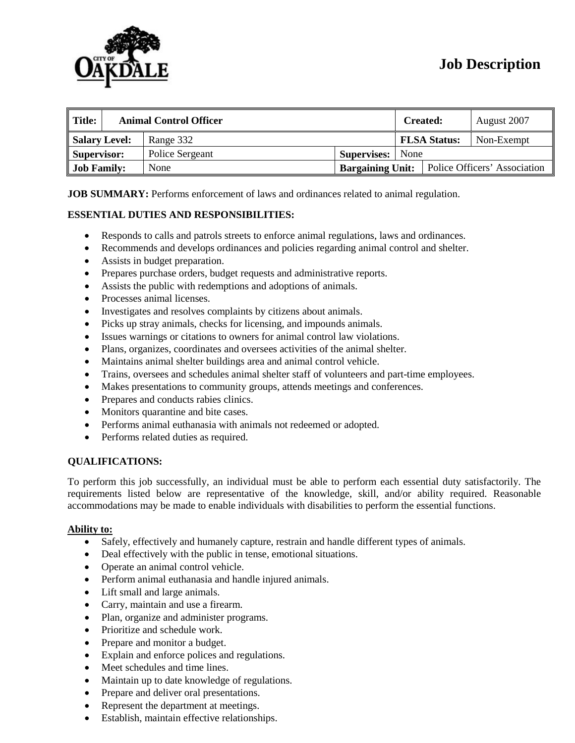

# **Job Description**

| $\parallel$ Title: | <b>Animal Control Officer</b> |                 |  | <b>Created:</b>         |                     | August 2007                  |            |
|--------------------|-------------------------------|-----------------|--|-------------------------|---------------------|------------------------------|------------|
| Salary Level:      |                               | Range 332       |  |                         | <b>FLSA Status:</b> |                              | Non-Exempt |
| Supervisor:        |                               | Police Sergeant |  | <b>Supervises:</b> None |                     |                              |            |
| <b>Job Family:</b> |                               | None            |  | <b>Bargaining Unit:</b> |                     | Police Officers' Association |            |

**JOB SUMMARY:** Performs enforcement of laws and ordinances related to animal regulation.

### **ESSENTIAL DUTIES AND RESPONSIBILITIES:**

- Responds to calls and patrols streets to enforce animal regulations, laws and ordinances.
- Recommends and develops ordinances and policies regarding animal control and shelter.
- Assists in budget preparation.
- Prepares purchase orders, budget requests and administrative reports.
- Assists the public with redemptions and adoptions of animals.
- Processes animal licenses.
- Investigates and resolves complaints by citizens about animals.
- Picks up stray animals, checks for licensing, and impounds animals.
- Issues warnings or citations to owners for animal control law violations.
- Plans, organizes, coordinates and oversees activities of the animal shelter.
- Maintains animal shelter buildings area and animal control vehicle.
- Trains, oversees and schedules animal shelter staff of volunteers and part-time employees.
- Makes presentations to community groups, attends meetings and conferences.
- Prepares and conducts rabies clinics.
- Monitors quarantine and bite cases.
- Performs animal euthanasia with animals not redeemed or adopted.
- Performs related duties as required.

#### **QUALIFICATIONS:**

To perform this job successfully, an individual must be able to perform each essential duty satisfactorily. The requirements listed below are representative of the knowledge, skill, and/or ability required. Reasonable accommodations may be made to enable individuals with disabilities to perform the essential functions.

#### **Ability to:**

- Safely, effectively and humanely capture, restrain and handle different types of animals.
- Deal effectively with the public in tense, emotional situations.
- Operate an animal control vehicle.
- Perform animal euthanasia and handle injured animals.
- Lift small and large animals.
- Carry, maintain and use a firearm.
- Plan, organize and administer programs.
- Prioritize and schedule work.
- Prepare and monitor a budget.
- Explain and enforce polices and regulations.
- Meet schedules and time lines.
- Maintain up to date knowledge of regulations.
- Prepare and deliver oral presentations.
- Represent the department at meetings.
- Establish, maintain effective relationships.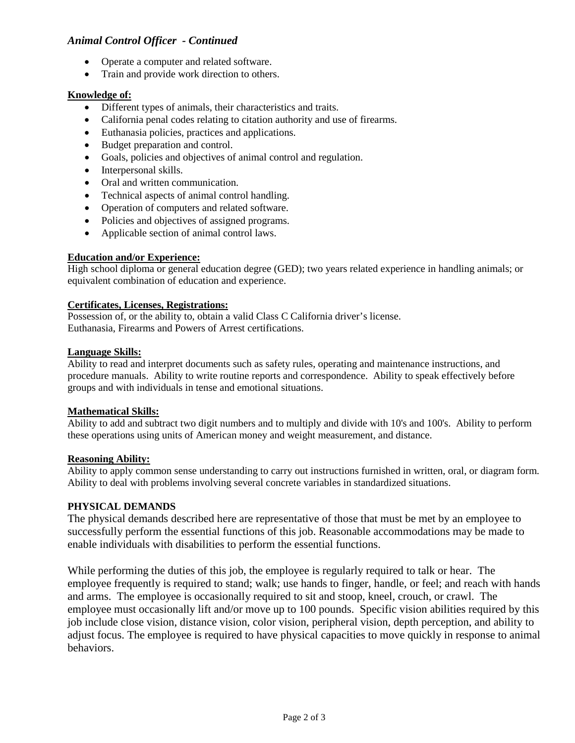## *Animal Control Officer - Continued*

- Operate a computer and related software.
- Train and provide work direction to others.

## **Knowledge of:**

- Different types of animals, their characteristics and traits.
- California penal codes relating to citation authority and use of firearms.
- Euthanasia policies, practices and applications.
- Budget preparation and control.
- Goals, policies and objectives of animal control and regulation.
- Interpersonal skills.
- Oral and written communication.
- Technical aspects of animal control handling.
- Operation of computers and related software.
- Policies and objectives of assigned programs.
- Applicable section of animal control laws.

### **Education and/or Experience:**

High school diploma or general education degree (GED); two years related experience in handling animals; or equivalent combination of education and experience.

#### **Certificates, Licenses, Registrations:**

Possession of, or the ability to, obtain a valid Class C California driver's license. Euthanasia, Firearms and Powers of Arrest certifications.

#### **Language Skills:**

Ability to read and interpret documents such as safety rules, operating and maintenance instructions, and procedure manuals. Ability to write routine reports and correspondence. Ability to speak effectively before groups and with individuals in tense and emotional situations.

#### **Mathematical Skills:**

Ability to add and subtract two digit numbers and to multiply and divide with 10's and 100's. Ability to perform these operations using units of American money and weight measurement, and distance.

#### **Reasoning Ability:**

Ability to apply common sense understanding to carry out instructions furnished in written, oral, or diagram form. Ability to deal with problems involving several concrete variables in standardized situations.

## **PHYSICAL DEMANDS**

The physical demands described here are representative of those that must be met by an employee to successfully perform the essential functions of this job. Reasonable accommodations may be made to enable individuals with disabilities to perform the essential functions.

While performing the duties of this job, the employee is regularly required to talk or hear. The employee frequently is required to stand; walk; use hands to finger, handle, or feel; and reach with hands and arms. The employee is occasionally required to sit and stoop, kneel, crouch, or crawl. The employee must occasionally lift and/or move up to 100 pounds. Specific vision abilities required by this job include close vision, distance vision, color vision, peripheral vision, depth perception, and ability to adjust focus. The employee is required to have physical capacities to move quickly in response to animal behaviors.